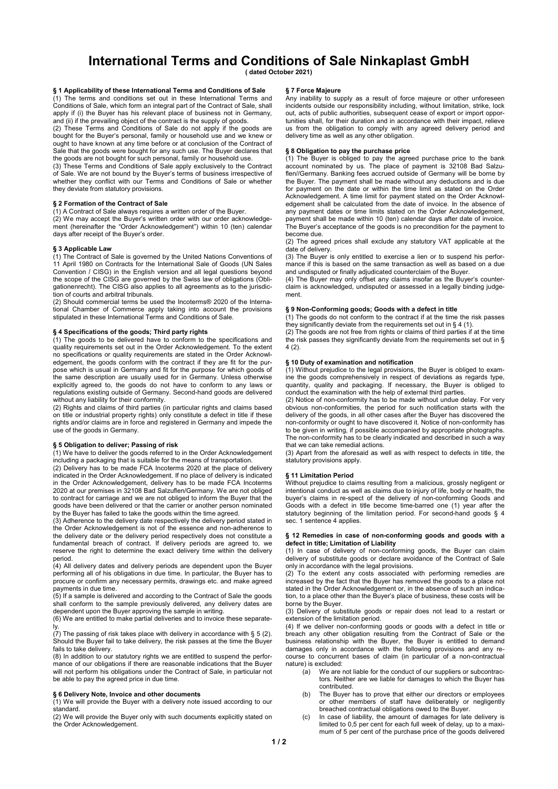# International Terms and Conditions of Sale Ninkaplast GmbH

( dated October 2021)

# § 1 Applicability of these International Terms and Conditions of Sale

(1) The terms and conditions set out in these International Terms and Conditions of Sale, which form an integral part of the Contract of Sale, shall apply if (i) the Buyer has his relevant place of business not in Germany, and (ii) if the prevailing object of the contract is the supply of goods.

(2) These Terms and Conditions of Sale do not apply if the goods are bought for the Buyer's personal, family or household use and we knew or ought to have known at any time before or at conclusion of the Contract of Sale that the goods were bought for any such use. The Buyer declares that the goods are not bought for such personal, family or household use.

(3) These Terms and Conditions of Sale apply exclusively to the Contract of Sale. We are not bound by the Buyer's terms of business irrespective of whether they conflict with our Terms and Conditions of Sale or whether they deviate from statutory provisions.

# § 2 Formation of the Contract of Sale

(1) A Contract of Sale always requires a written order of the Buyer.

(2) We may accept the Buyer's written order with our order acknowledgement (hereinafter the "Order Acknowledgement") within 10 (ten) calendar days after receipt of the Buyer's order.

#### § 3 Applicable Law

(1) The Contract of Sale is governed by the United Nations Conventions of 11 April 1980 on Contracts for the International Sale of Goods (UN Sales Convention / CISG) in the English version and all legal questions beyond the scope of the CISG are governed by the Swiss law of obligations (Obligationenrecht). The CISG also applies to all agreements as to the jurisdic- $\frac{1}{10}$  of courts and arbitral tribunals.

(2) Should commercial terms be used the Incoterms® 2020 of the International Chamber of Commerce apply taking into account the provisions stipulated in these International Terms and Conditions of Sale.

# § 4 Specifications of the goods; Third party rights

(1) The goods to be delivered have to conform to the specifications and quality requirements set out in the Order Acknowledgement. To the extent no specifications or quality requirements are stated in the Order Acknowledgement, the goods conform with the contract if they are fit for the purpose which is usual in Germany and fit for the purpose for which goods of the same description are usually used for in Germany. Unless otherwise explicitly agreed to, the goods do not have to conform to any laws or regulations existing outside of Germany. Second-hand goods are delivered without any liability for their conformity.

(2) Rights and claims of third parties (in particular rights and claims based on title or industrial property rights) only constitute a defect in title if these rights and/or claims are in force and registered in Germany and impede the use of the goods in Germany.

# § 5 Obligation to deliver; Passing of risk

(1) We have to deliver the goods referred to in the Order Acknowledgement including a packaging that is suitable for the means of transportation.

(2) Delivery has to be made FCA Incoterms 2020 at the place of delivery indicated in the Order Acknowledgement. If no place of delivery is indicated in the Order Acknowledgement, delivery has to be made FCA Incoterms 2020 at our premises in 32108 Bad Salzuflen/Germany. We are not obliged to contract for carriage and we are not obliged to inform the Buyer that the goods have been delivered or that the carrier or another person nominated by the Buyer has failed to take the goods within the time agreed.

(3) Adherence to the delivery date respectively the delivery period stated in the Order Acknowledgement is not of the essence and non-adherence to the delivery date or the delivery period respectively does not constitute a fundamental breach of contract. If delivery periods are agreed to, we reserve the right to determine the exact delivery time within the delivery period.

(4) All delivery dates and delivery periods are dependent upon the Buyer performing all of his obligations in due time. In particular, the Buyer has to procure or confirm any necessary permits, drawings etc. and make agreed payments in due time.

(5) If a sample is delivered and according to the Contract of Sale the goods shall conform to the sample previously delivered, any delivery dates are dependent upon the Buyer approving the sample in writing.

(6) We are entitled to make partial deliveries and to invoice these separately.

(7) The passing of risk takes place with delivery in accordance with § 5 (2). Should the Buyer fail to take delivery, the risk passes at the time the Buyer fails to take delivery.

(8) In addition to our statutory rights we are entitled to suspend the performance of our obligations if there are reasonable indications that the Buyer will not perform his obligations under the Contract of Sale, in particular not be able to pay the agreed price in due time.

# § 6 Delivery Note, Invoice and other documents

(1) We will provide the Buyer with a delivery note issued according to our standard.

(2) We will provide the Buyer only with such documents explicitly stated on the Order Acknowledgement.

### § 7 Force Majeure

Any inability to supply as a result of force majeure or other unforeseen incidents outside our responsibility including, without limitation, strike, lock out, acts of public authorities, subsequent cease of export or import oppor-<br>tunities shall for their duration and in accordance with their impact relieve tunities shall, for their duration and in accordance with their impact, rel us from the obligation to comply with any agreed delivery period and delivery time as well as any other obligation.

# § 8 Obligation to pay the purchase price

(1) The Buyer is obliged to pay the agreed purchase price to the bank account nominated by us. The place of payment is 32108 Bad Salzuflen//Germany. Banking fees accrued outside of Germany will be borne by the Buyer. The payment shall be made without any deductions and is due for payment on the date or within the time limit as stated on the Order Acknowledgement. A time limit for payment stated on the Order Acknowledgement shall be calculated from the date of invoice. In the absence of any payment dates or time limits stated on the Order Acknowledgement, payment shall be made within 10 (ten) calendar days after date of invoice. The Buyer's acceptance of the goods is no precondition for the payment to become due.

(2) The agreed prices shall exclude any statutory VAT applicable at the date of delivery.

(3) The Buyer is only entitled to exercise a lien or to suspend his performance if this is based on the same transaction as well as based on a due and undisputed or finally adjudicated counterclaim of the Buyer.

(4) The Buyer may only offset any claims insofar as the Buyer's counterclaim is acknowledged, undisputed or assessed in a legally binding judgement.

# § 9 Non-Conforming goods; Goods with a defect in title

(1) The goods do not conform to the contract if at the time the risk passes they significantly deviate from the requirements set out in  $\S 4 (1)$ .

(2) The goods are not free from rights or claims of third parties if at the time the risk passes they significantly deviate from the requirements set out in §  $4(2)$ 

# § 10 Duty of examination and notification

(1) Without prejudice to the legal provisions, the Buyer is obliged to examine the goods comprehensively in respect of deviations as regards type, quantity, quality and packaging. If necessary, the Buyer is obliged to conduct the examination with the help of external third parties.

(2) Notice of non-conformity has to be made without undue delay. For very obvious non-conformities, the period for such notification starts with the delivery of the goods, in all other cases after the Buyer has discovered the non-conformity or ought to have discovered it. Notice of non-conformity has to be given in writing, if possible accompanied by appropriate photographs. The non-conformity has to be clearly indicated and described in such a way that we can take remedial actions.

(3) Apart from the aforesaid as well as with respect to defects in title, the statutory provisions apply.

# § 11 Limitation Period

Without prejudice to claims resulting from a malicious, grossly negligent or intentional conduct as well as claims due to injury of life, body or health, the buyer's claims in re-spect of the delivery of non-conforming Goods and Goods with a defect in title become time-barred one (1) year after the statutory beginning of the limitation period. For second-hand goods § 4 sec. 1 sentence 4 applies.

#### § 12 Remedies in case of non-conforming goods and goods with a defect in title; Limitation of Liability

(1) In case of delivery of non-conforming goods, the Buyer can claim delivery of substitute goods or declare avoidance of the Contract of Sale only in accordance with the legal provisions.

(2) To the extent any costs associated with performing remedies are increased by the fact that the Buyer has removed the goods to a place not stated in the Order Acknowledgement or, in the absence of such an indication, to a place other than the Buyer's place of business, these costs will be borne by the Buyer.

(3) Delivery of substitute goods or repair does not lead to a restart or extension of the limitation period.

(4) If we deliver non-conforming goods or goods with a defect in title or breach any other obligation resulting from the Contract of Sale or the business relationship with the Buyer, the Buyer is entitled to demand damages only in accordance with the following provisions and any recourse to concurrent bases of claim (in particular of a non-contractual nature) is excluded:

- (a) We are not liable for the conduct of our suppliers or subcontractors. Neither are we liable for damages to which the Buyer has contributed.
- (b) The Buyer has to prove that either our directors or employees or other members of staff have deliberately or negligently breached contractual obligations owed to the Buyer.
- (c) In case of liability, the amount of damages for late delivery is limited to 0,5 per cent for each full week of delay, up to a maximum of 5 per cent of the purchase price of the goods delivered